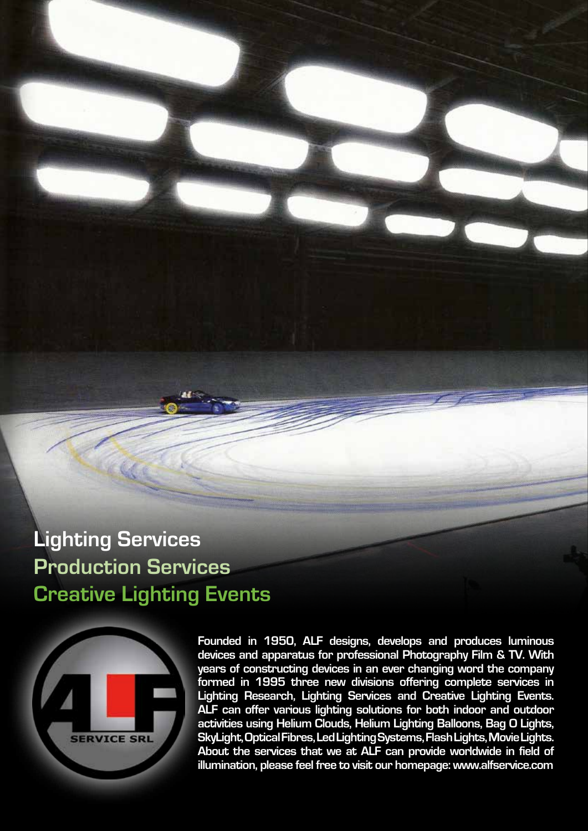**Lighting Services Production Services Creative Lighting Events**



**Founded in 1950, ALF designs, develops and produces luminous devices and apparatus for professional Photography Film & TV. With years of constructing devices in an ever changing word the company formed in 1995 three new divisions offering complete services in Lighting Research, Lighting Services and Creative Lighting Events. ALF can offer various lighting solutions for both indoor and outdoor activities using Helium Clouds, Helium Lighting Balloons, Bag O Lights, SkyLight, Optical Fibres, Led Lighting Systems, Flash Lights, Movie Lights. About the services that we at ALF can provide worldwide in field of illumination, please feel free to visit our homepage: www.alfservice.com**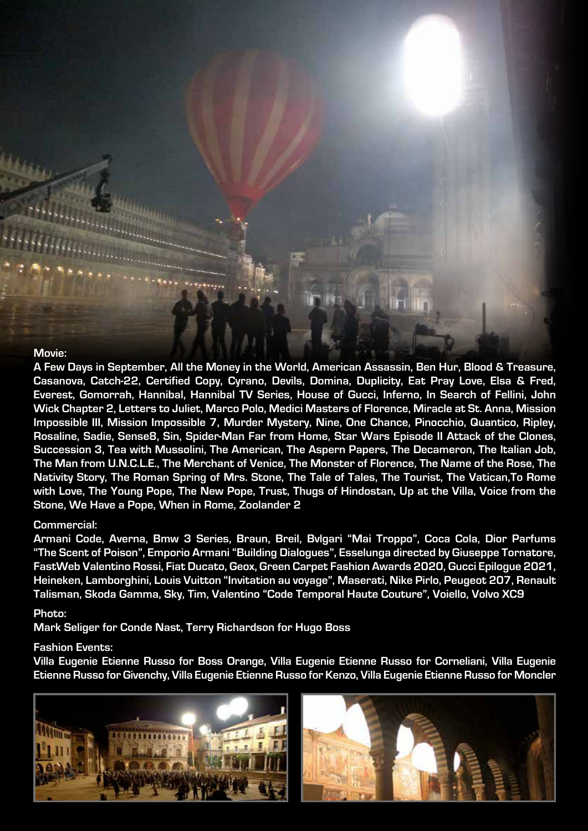### **Movie:**

**A Few Days in September, All the Money in the World, American Assassin, Ben Hur, Blood & Treasure, Casanova, Catch-22, Certified Copy, Cyrano, Devils, Domina, Duplicity, Eat Pray Love, Elsa & Fred, Everest, Gomorrah, Hannibal, Hannibal TV Series, House of Gucci, Inferno, In Search of Fellini, John Wick Chapter 2, Letters to Juliet, Marco Polo, Medici Masters of Florence, Miracle at St. Anna, Mission Impossible III, Mission Impossible 7, Murder Mystery, Nine, One Chance, Pinocchio, Quantico, Ripley, Rosaline, Sadie, Sense8, Sin, Spider-Man Far from Home, Star Wars Episode II Attack of the Clones, Succession 3, Tea with Mussolini, The American, The Aspern Papers, The Decameron, The Italian Job, The Man from U.N.C.L.E., The Merchant of Venice, The Monster of Florence, The Name of the Rose, The Nativity Story, The Roman Spring of Mrs. Stone, The Tale of Tales, The Tourist, The Vatican,To Rome with Love, The Young Pope, The New Pope, Trust, Thugs of Hindostan, Up at the Villa, Voice from the Stone, We Have a Pope, When in Rome, Zoolander 2** 

### **Commercial:**

**Armani Code, Averna, Bmw 3 Series, Braun, Breil, Bvlgari "Mai Troppo", Coca Cola, Dior Parfums "The Scent of Poison", Emporio Armani "Building Dialogues", Esselunga directed by Giuseppe Tornatore, FastWeb Valentino Rossi, Fiat Ducato, Geox, Green Carpet Fashion Awards 2020, Gucci Epilogue 2021, Heineken, Lamborghini, Louis Vuitton "Invitation au voyage", Maserati, Nike Pirlo, Peugeot 207, Renault Talisman, Skoda Gamma, Sky, Tim, Valentino "Code Temporal Haute Couture", Voiello, Volvo XC9** 

#### **Photo:**

**Mark Seliger for Conde Nast, Terry Richardson for Hugo Boss**

### **Fashion Events:**

**Villa Eugenie Etienne Russo for Boss Orange, Villa Eugenie Etienne Russo for Corneliani, Villa Eugenie Etienne Russo for Givenchy, Villa Eugenie Etienne Russo for Kenzo, Villa Eugenie Etienne Russo for Moncler**

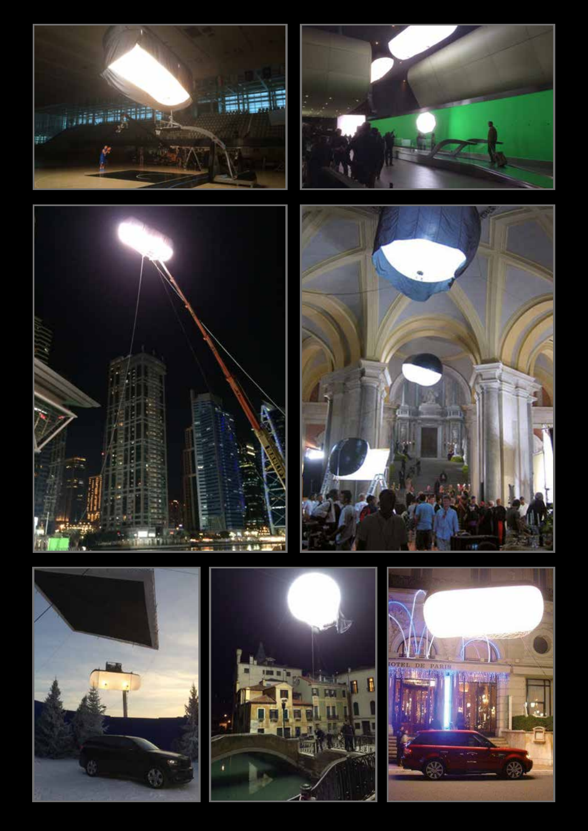